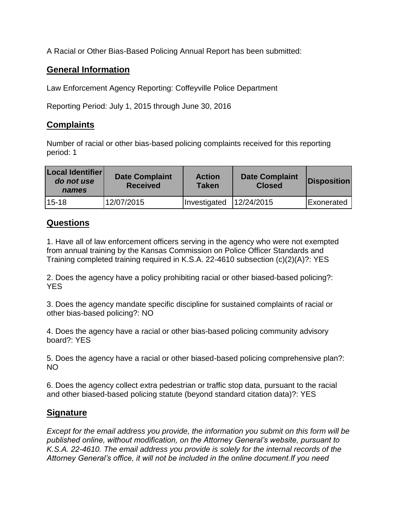A Racial or Other Bias-Based Policing Annual Report has been submitted:

## **General Information**

Law Enforcement Agency Reporting: Coffeyville Police Department

Reporting Period: July 1, 2015 through June 30, 2016

## **Complaints**

Number of racial or other bias-based policing complaints received for this reporting period: 1

| Local Identifier<br>do not use<br>names | <b>Date Complaint</b><br><b>Received</b> | <b>Action</b><br><b>Taken</b> | <b>Date Complaint</b><br><b>Closed</b> | Disposition       |
|-----------------------------------------|------------------------------------------|-------------------------------|----------------------------------------|-------------------|
| $15-18$                                 | 12/07/2015                               | Investigated                  | 12/24/2015                             | <b>Exonerated</b> |

## **Questions**

1. Have all of law enforcement officers serving in the agency who were not exempted from annual training by the Kansas Commission on Police Officer Standards and Training completed training required in K.S.A. 22-4610 subsection (c)(2)(A)?: YES

2. Does the agency have a policy prohibiting racial or other biased-based policing?: YES

3. Does the agency mandate specific discipline for sustained complaints of racial or other bias-based policing?: NO

4. Does the agency have a racial or other bias-based policing community advisory board?: YES

5. Does the agency have a racial or other biased-based policing comprehensive plan?: NO

6. Does the agency collect extra pedestrian or traffic stop data, pursuant to the racial and other biased-based policing statute (beyond standard citation data)?: YES

## **Signature**

*Except for the email address you provide, the information you submit on this form will be published online, without modification, on the Attorney General's website, pursuant to K.S.A. 22-4610. The email address you provide is solely for the internal records of the Attorney General's office, it will not be included in the online document.If you need*